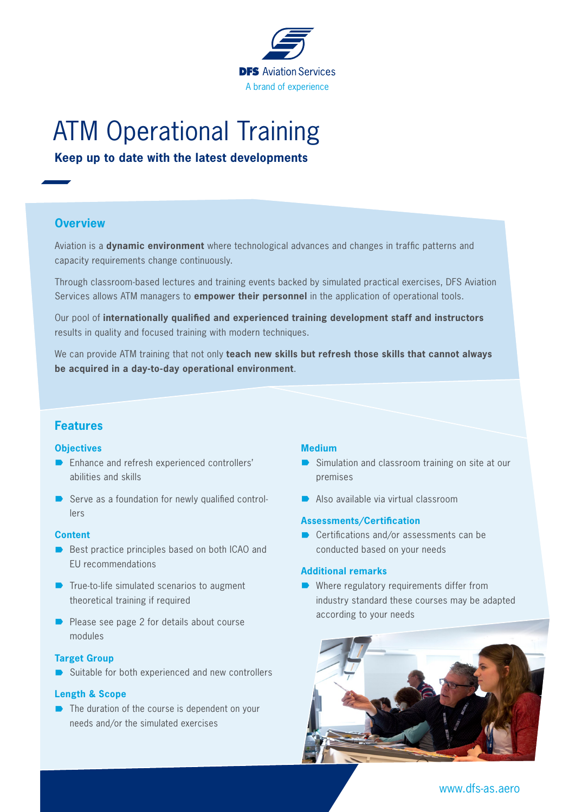

# ATM Operational Training

**Keep up to date with the latest developments**

## **Overview**

Aviation is a **dynamic environment** where technological advances and changes in traffic patterns and capacity requirements change continuously.

Through classroom-based lectures and training events backed by simulated practical exercises, DFS Aviation Services allows ATM managers to **empower their personnel** in the application of operational tools.

Our pool of **internationally qualified and experienced training development staff and instructors** results in quality and focused training with modern techniques.

We can provide ATM training that not only **teach new skills but refresh those skills that cannot always be acquired in a day-to-day operational environment**.

## **Features**

#### **Objectives**

- Enhance and refresh experienced controllers' abilities and skills
- $\blacksquare$  Serve as a foundation for newly qualified controllers

#### **Content**

- $\blacksquare$  Best practice principles based on both ICAO and EU recommendations
- $\blacksquare$  True-to-life simulated scenarios to augment theoretical training if required
- $\blacksquare$  Please see page 2 for details about course modules

#### **Target Group**

Suitable for both experienced and new controllers

#### **Length & Scope**

 $\blacksquare$  The duration of the course is dependent on your needs and/or the simulated exercises

#### **Medium**

- Simulation and classroom training on site at our premises
- $\blacksquare$  Also available via virtual classroom

#### **Assessments/Certification**

 $\blacksquare$  Certifications and/or assessments can be conducted based on your needs

#### **Additional remarks**

 $\blacksquare$  Where regulatory requirements differ from industry standard these courses may be adapted according to your needs



www.dfs-as.aero